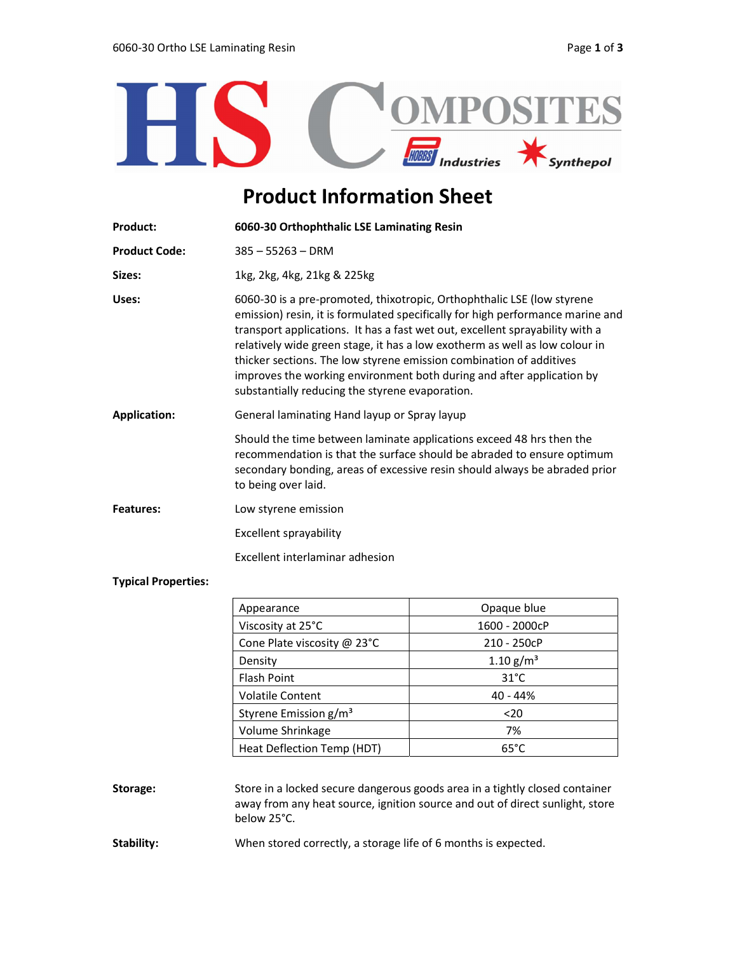

## Product Information Sheet

| <b>Product:</b>      | 6060-30 Orthophthalic LSE Laminating Resin                                                                                                                                                                                                                                                                                                                                                                                                                                                                                 |  |
|----------------------|----------------------------------------------------------------------------------------------------------------------------------------------------------------------------------------------------------------------------------------------------------------------------------------------------------------------------------------------------------------------------------------------------------------------------------------------------------------------------------------------------------------------------|--|
| <b>Product Code:</b> | $385 - 55263 - DRM$                                                                                                                                                                                                                                                                                                                                                                                                                                                                                                        |  |
| Sizes:               | 1kg, 2kg, 4kg, 21kg & 225kg                                                                                                                                                                                                                                                                                                                                                                                                                                                                                                |  |
| Uses:                | 6060-30 is a pre-promoted, thixotropic, Orthophthalic LSE (low styrene<br>emission) resin, it is formulated specifically for high performance marine and<br>transport applications. It has a fast wet out, excellent sprayability with a<br>relatively wide green stage, it has a low exotherm as well as low colour in<br>thicker sections. The low styrene emission combination of additives<br>improves the working environment both during and after application by<br>substantially reducing the styrene evaporation. |  |
| <b>Application:</b>  | General laminating Hand layup or Spray layup                                                                                                                                                                                                                                                                                                                                                                                                                                                                               |  |
|                      | Should the time between laminate applications exceed 48 hrs then the<br>recommendation is that the surface should be abraded to ensure optimum<br>secondary bonding, areas of excessive resin should always be abraded prior<br>to being over laid.                                                                                                                                                                                                                                                                        |  |
| Features:            | Low styrene emission                                                                                                                                                                                                                                                                                                                                                                                                                                                                                                       |  |
|                      | Excellent sprayability                                                                                                                                                                                                                                                                                                                                                                                                                                                                                                     |  |
|                      | Excellent interlaminar adhesion                                                                                                                                                                                                                                                                                                                                                                                                                                                                                            |  |

## Typical Properties:

| Appearance                        | Opaque blue             |
|-----------------------------------|-------------------------|
| Viscosity at 25°C                 | 1600 - 2000cP           |
| Cone Plate viscosity @ 23°C       | 210 - 250cP             |
| Density                           | $1.10$ g/m <sup>3</sup> |
| <b>Flash Point</b>                | $31^{\circ}$ C          |
| <b>Volatile Content</b>           | 40 - 44%                |
| Styrene Emission g/m <sup>3</sup> | $20$                    |
| Volume Shrinkage                  | 7%                      |
| Heat Deflection Temp (HDT)        | $65^{\circ}$ C          |

## Storage: Store in a locked secure dangerous goods area in a tightly closed container away from any heat source, ignition source and out of direct sunlight, store below 25°C.

Stability: When stored correctly, a storage life of 6 months is expected.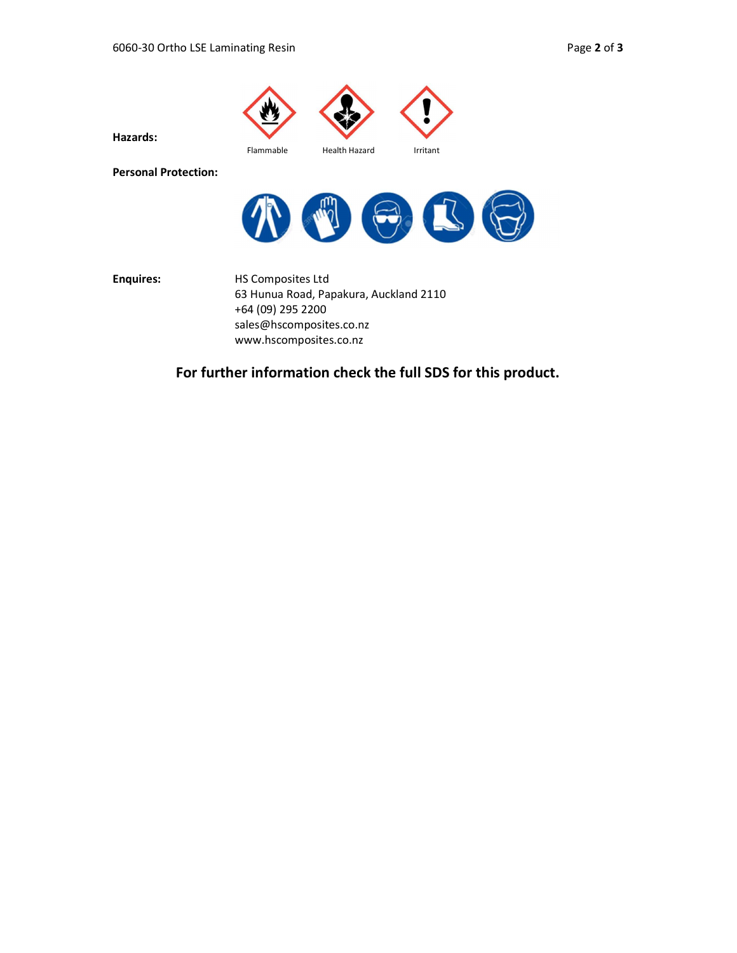

Hazards:

Flammable Health Hazard Irritant

Personal Protection:



Enquires: HS Composites Ltd 63 Hunua Road, Papakura, Auckland 2110 +64 (09) 295 2200 sales@hscomposites.co.nz www.hscomposites.co.nz

For further information check the full SDS for this product.